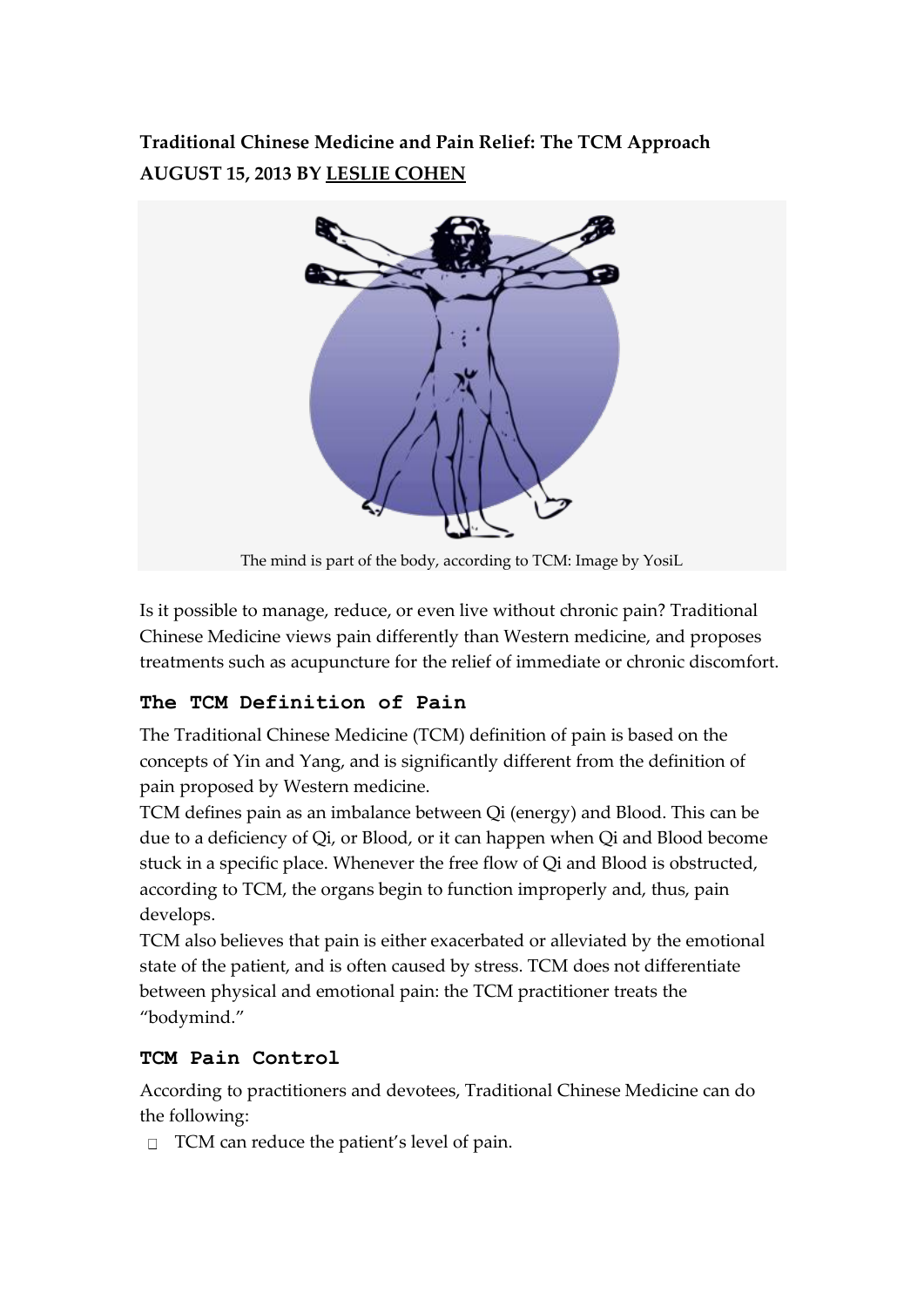# **Traditional Chinese Medicine and Pain Relief: The TCM Approach AUGUST 15, 2013 BY [LESLIE COHEN](http://www.decodedscience.com/author/leslie-cohen)**



The mind is part of the body, according to TCM: Image by YosiL

Is it possible to manage, reduce, or even live without chronic pain? Traditional Chinese Medicine views pain differently than Western medicine, and proposes treatments such as acupuncture for the relief of immediate or chronic discomfort.

### **The TCM Definition of Pain**

The Traditional Chinese Medicine (TCM) definition of pain is based on the concepts of Yin and Yang, and is significantly different from the definition of pain proposed by Western medicine.

TCM defines pain as an imbalance between Qi (energy) and Blood. This can be due to a deficiency of Qi, or Blood, or it can happen when Qi and Blood become stuck in a specific place. Whenever the free flow of Qi and Blood is obstructed, according to TCM, the organs begin to function improperly and, thus, pain develops.

TCM also believes that pain is either exacerbated or alleviated by the emotional state of the patient, and is often caused by stress. TCM does not differentiate between physical and emotional pain: the TCM practitioner treats the "bodymind."

### **TCM Pain Control**

According to practitioners and devotees, Traditional Chinese Medicine can do the following:

 $\Box$  TCM can reduce the patient's level of pain.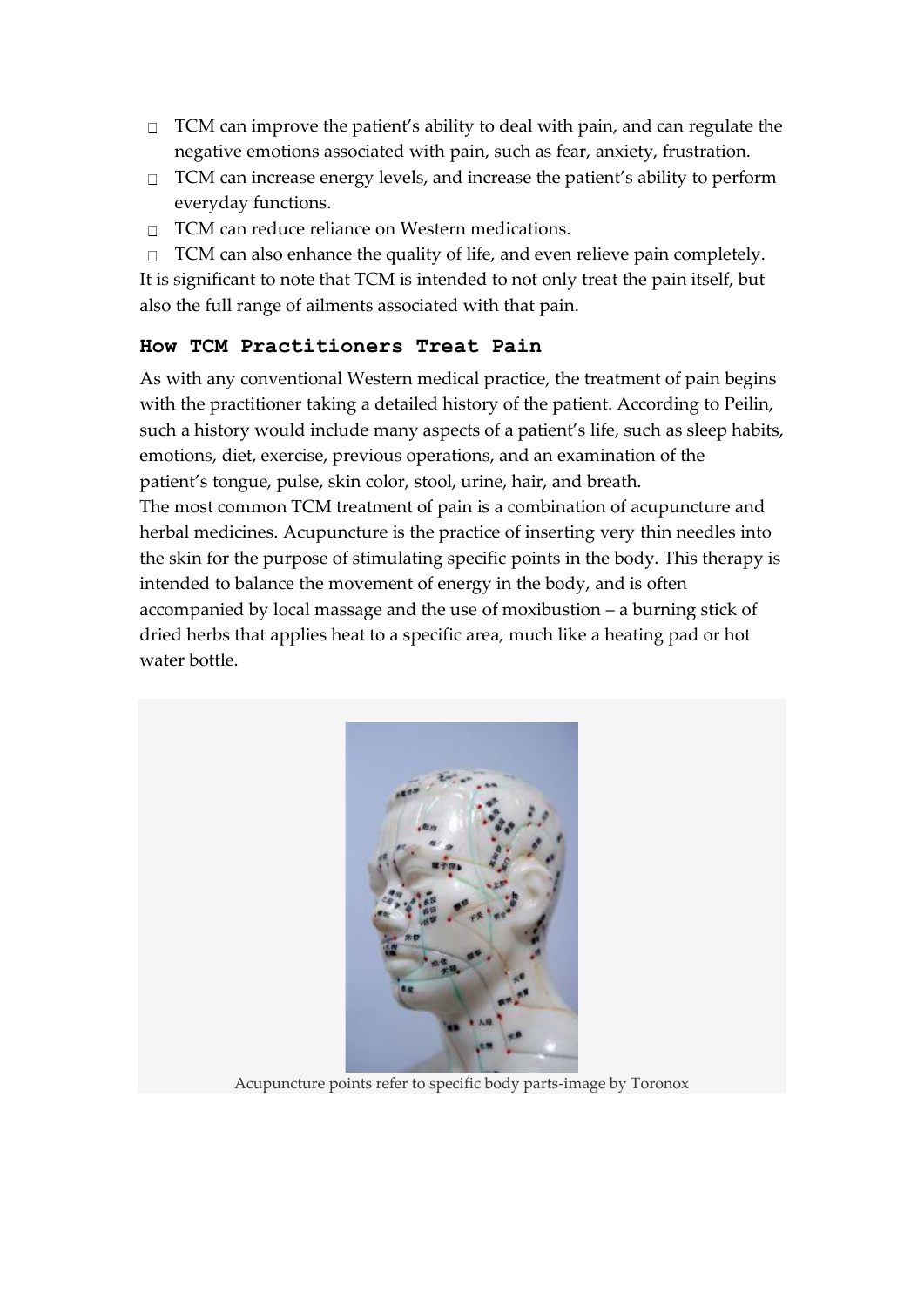- $\Box$  TCM can improve the patient's ability to deal with pain, and can regulate the negative emotions associated with pain, such as fear, anxiety, frustration.
- $\Box$  TCM can increase energy levels, and increase the patient's ability to perform everyday functions.
- □ TCM can reduce reliance on Western medications.
- $\Box$  TCM can also enhance the quality of life, and even relieve pain completely.

It is significant to note that TCM is intended to not only treat the pain itself, but also the full range of ailments associated with that pain.

#### **How TCM Practitioners Treat Pain**

As with any conventional Western medical practice, the treatment of pain begins with the practitioner taking a detailed history of the patient. According to Peilin, such a history would include many aspects of a patient's life, such as sleep habits, emotions, diet, exercise, previous operations, and an examination of the patient's tongue, pulse, skin color, stool, urine, hair, and breath.

The most common TCM treatment of pain is a combination of acupuncture and herbal medicines. Acupuncture is the practice of inserting very thin needles into the skin for the purpose of stimulating specific points in the body. This therapy is intended to balance the movement of energy in the body, and is often accompanied by local massage and the use of moxibustion – a burning stick of dried herbs that applies heat to a specific area, much like a heating pad or hot water bottle.



Acupuncture points refer to specific body parts-image by Toronox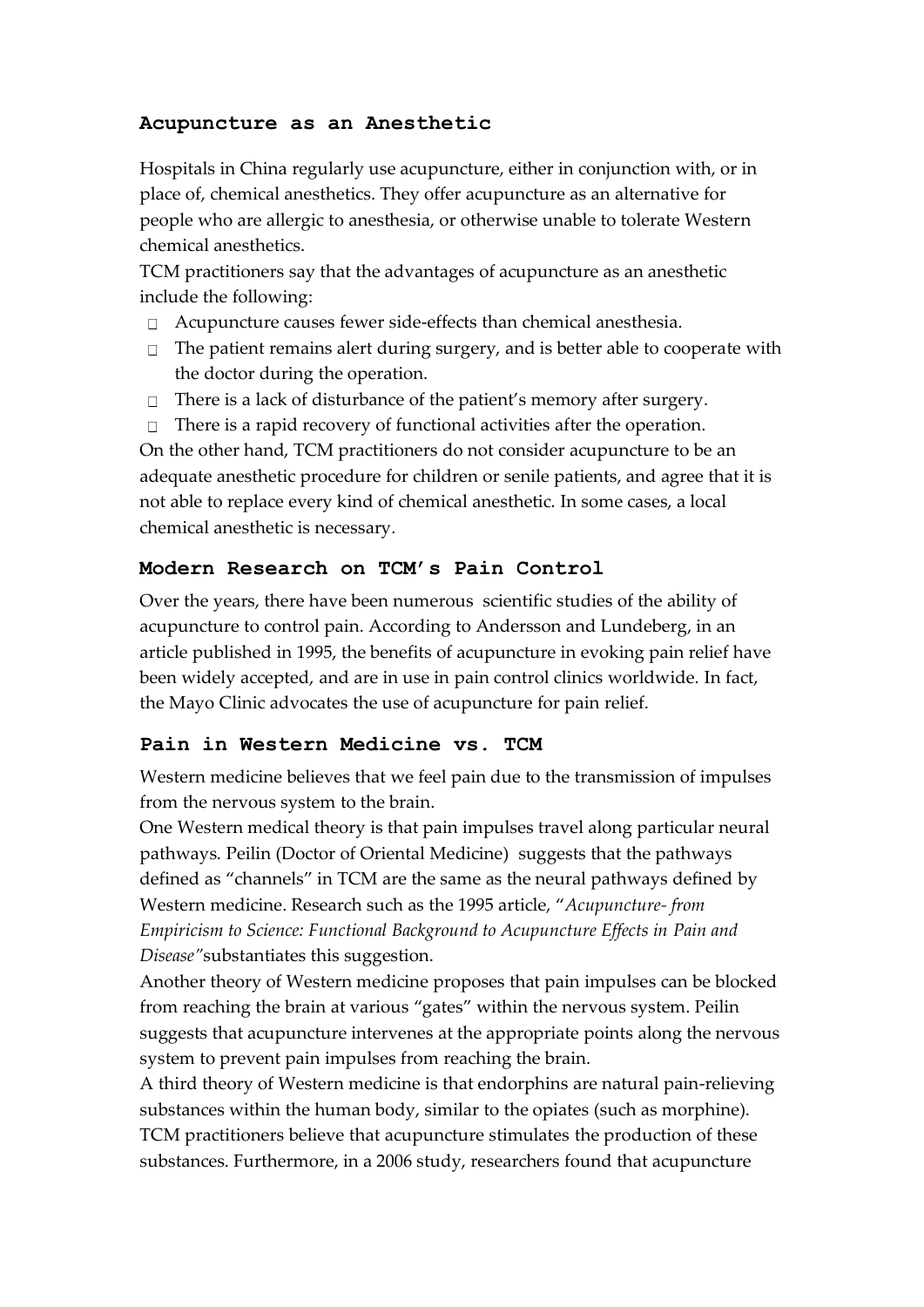### **Acupuncture as an Anesthetic**

Hospitals in China regularly use acupuncture, either in conjunction with, or in place of, chemical anesthetics. They offer acupuncture as an alternative for people who are allergic to anesthesia, or otherwise unable to tolerate Western chemical anesthetics.

TCM practitioners say that the advantages of acupuncture as an anesthetic include the following:

- Acupuncture causes fewer side-effects than chemical anesthesia.
- $\Box$  The patient remains alert during surgery, and is better able to cooperate with the doctor during the operation.
- $\Box$  There is a lack of disturbance of the patient's memory after surgery.
- There is a rapid recovery of functional activities after the operation.  $\Box$

On the other hand, TCM practitioners do not consider acupuncture to be an adequate anesthetic procedure for children or senile patients, and agree that it is not able to replace every kind of chemical anesthetic. In some cases, a local chemical anesthetic is necessary.

#### **Modern Research on TCM's Pain Control**

Over the years, there have been numerous scientific studies of the ability of acupuncture to control pain. According to Andersson and Lundeberg, in an article published in 1995, the benefits of acupuncture in evoking pain relief have been widely accepted, and are in use in pain control clinics worldwide. In fact, the Mayo Clinic advocates the use of acupuncture for pain relief.

#### **Pain in Western Medicine vs. TCM**

Western medicine believes that we feel pain due to the transmission of impulses from the nervous system to the brain.

One Western medical theory is that pain impulses travel along particular neural pathways. Peilin (Doctor of Oriental Medicine) suggests that the pathways defined as "channels" in TCM are the same as the neural pathways defined by Western medicine. Research such as the 1995 article, "*Acupuncture- from Empiricism to Science: Functional Background to Acupuncture Effects in Pain and Disease"*substantiates this suggestion.

Another theory of Western medicine proposes that pain impulses can be blocked from reaching the brain at various "gates" within the nervous system. Peilin suggests that acupuncture intervenes at the appropriate points along the nervous system to prevent pain impulses from reaching the brain.

A third theory of Western medicine is that endorphins are natural pain-relieving substances within the human body, similar to the opiates (such as morphine). TCM practitioners believe that acupuncture stimulates the production of these substances. Furthermore, in a 2006 study, researchers found that acupuncture